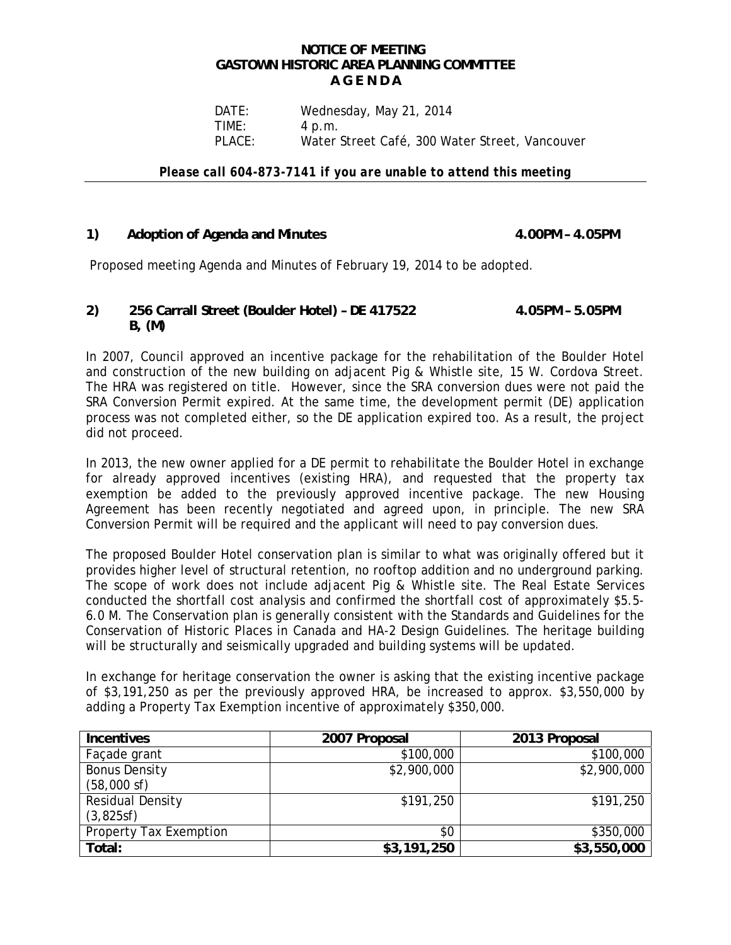### **NOTICE OF MEETING GASTOWN HISTORIC AREA PLANNING COMMITTEE A G E N D A**

DATE: Wednesday, May 21, 2014 TIME: 4 p.m. PLACE: Water Street Café, 300 Water Street, Vancouver

*Please call 604-873-7141 if you are unable to attend this meeting* 

# 1) Adoption of Agenda and Minutes **4.00PM - 4.05PM**

Proposed meeting Agenda and Minutes of February 19, 2014 to be adopted.

## **2) 256 Carrall Street (Boulder Hotel) – DE 417522 4.05PM – 5.05PM B, (M)**

In 2007, Council approved an incentive package for the rehabilitation of the Boulder Hotel and construction of the new building on adjacent Pig & Whistle site, 15 W. Cordova Street. The HRA was registered on title. However, since the SRA conversion dues were not paid the SRA Conversion Permit expired. At the same time, the development permit (DE) application process was not completed either, so the DE application expired too. As a result, the project did not proceed.

In 2013, the new owner applied for a DE permit to rehabilitate the Boulder Hotel in exchange for already approved incentives (existing HRA), and requested that the property tax exemption be added to the previously approved incentive package. The new Housing Agreement has been recently negotiated and agreed upon, in principle. The new SRA Conversion Permit will be required and the applicant will need to pay conversion dues.

The proposed Boulder Hotel conservation plan is similar to what was originally offered but it provides higher level of structural retention, no rooftop addition and no underground parking. The scope of work does not include adjacent Pig & Whistle site. The Real Estate Services conducted the shortfall cost analysis and confirmed the shortfall cost of approximately \$5.5- 6.0 M. The Conservation plan is generally consistent with the Standards and Guidelines for the Conservation of Historic Places in Canada and HA-2 Design Guidelines. The heritage building will be structurally and seismically upgraded and building systems will be updated.

In exchange for heritage conservation the owner is asking that the existing incentive package of \$3,191,250 as per the previously approved HRA, be increased to approx. \$3,550,000 by adding a Property Tax Exemption incentive of approximately \$350,000.

| <b>Incentives</b>       | 2007 Proposal | 2013 Proposal |
|-------------------------|---------------|---------------|
| Façade grant            | \$100,000     | \$100,000     |
| <b>Bonus Density</b>    | \$2,900,000   | \$2,900,000   |
| $(58,000 \text{ sf})$   |               |               |
| <b>Residual Density</b> | \$191,250     | \$191,250     |
| (3,825sf)               |               |               |
| Property Tax Exemption  | \$0           | \$350,000     |
| Total:                  | \$3,191,250   | \$3,550,000   |